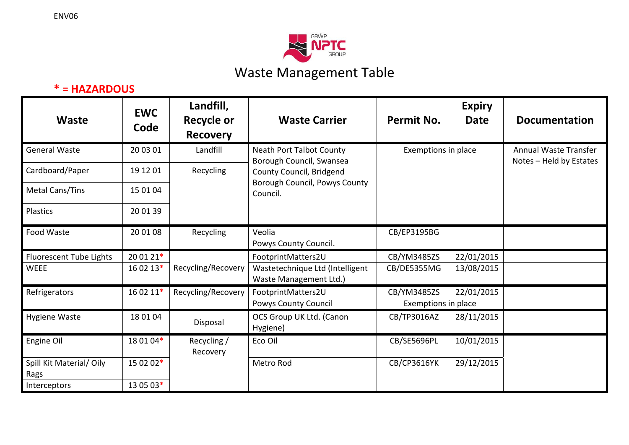



## **\* <sup>=</sup> HAZARDOUS**

| Waste                           | <b>EWC</b><br>Code | Landfill,<br><b>Recycle or</b><br><b>Recovery</b> | <b>Waste Carrier</b>                                                  | Permit No.          | <b>Expiry</b><br><b>Date</b> | <b>Documentation</b>                             |
|---------------------------------|--------------------|---------------------------------------------------|-----------------------------------------------------------------------|---------------------|------------------------------|--------------------------------------------------|
| <b>General Waste</b>            | 20 03 01           | Landfill                                          | <b>Neath Port Talbot County</b><br>Borough Council, Swansea           | Exemptions in place |                              | Annual Waste Transfer<br>Notes - Held by Estates |
| Cardboard/Paper                 | 19 12 01           | Recycling                                         | County Council, Bridgend<br>Borough Council, Powys County<br>Council. |                     |                              |                                                  |
| Metal Cans/Tins                 | 15 01 04           |                                                   |                                                                       |                     |                              |                                                  |
| <b>Plastics</b>                 | 20 01 39           |                                                   |                                                                       |                     |                              |                                                  |
| Food Waste                      | 20 01 08           | Recycling                                         | Veolia                                                                | CB/EP3195BG         |                              |                                                  |
|                                 |                    |                                                   | Powys County Council.                                                 |                     |                              |                                                  |
| <b>Fluorescent Tube Lights</b>  | 20 01 21*          |                                                   | FootprintMatters2U                                                    | CB/YM3485ZS         | 22/01/2015                   |                                                  |
| WEEE                            | 16 02 13*          | Recycling/Recovery                                | Wastetechnique Ltd (Intelligent<br>Waste Management Ltd.)             | CB/DE5355MG         | 13/08/2015                   |                                                  |
| Refrigerators                   | 16 02 11*          | Recycling/Recovery                                | FootprintMatters2U                                                    | CB/YM3485ZS         | 22/01/2015                   |                                                  |
|                                 |                    |                                                   | <b>Powys County Council</b>                                           | Exemptions in place |                              |                                                  |
| <b>Hygiene Waste</b>            | 18 01 04           | Disposal                                          | OCS Group UK Ltd. (Canon<br>Hygiene)                                  | CB/TP3016AZ         | 28/11/2015                   |                                                  |
| Engine Oil                      | 18 01 04*          | Recycling /<br>Recovery                           | Eco Oil                                                               | CB/SE5696PL         | 10/01/2015                   |                                                  |
| Spill Kit Material/Oily<br>Rags | 15 02 02*          |                                                   | Metro Rod                                                             | CB/CP3616YK         | 29/12/2015                   |                                                  |
| Interceptors                    | 13 05 03*          |                                                   |                                                                       |                     |                              |                                                  |